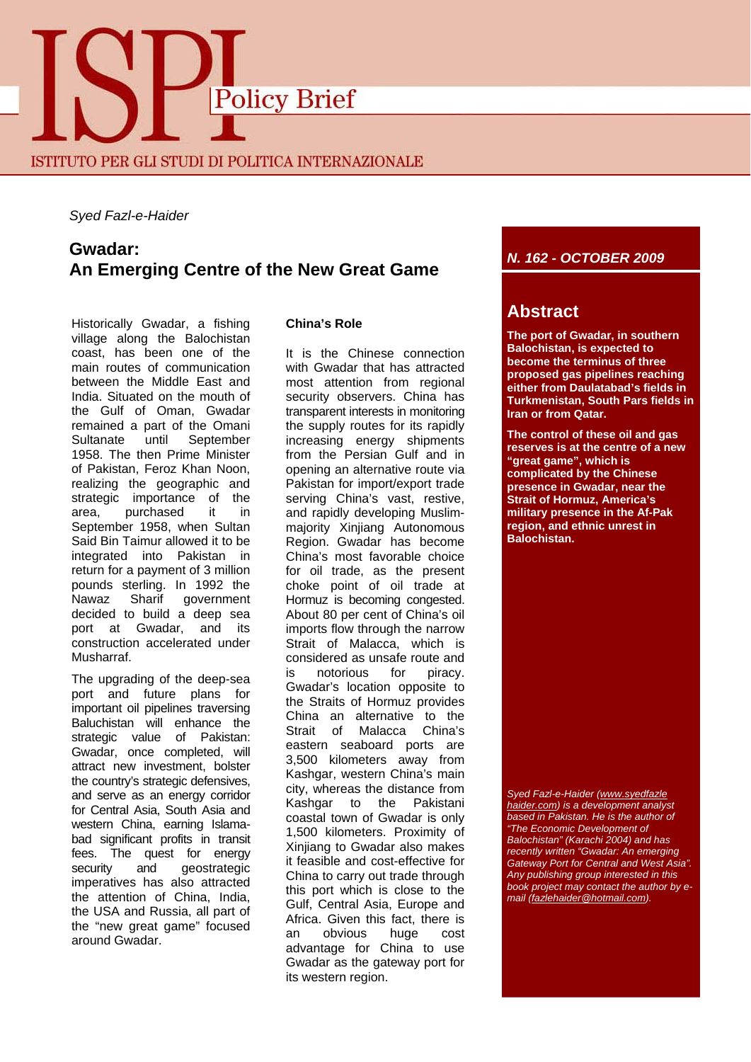

### *Syed Fazl-e-Haider*

# **Gwadar: An Emerging Centre of the New Great Game**

Historically Gwadar, a fishing village along the Balochistan coast, has been one of the main routes of communication between the Middle East and India. Situated on the mouth of the Gulf of Oman, Gwadar remained a part of the Omani Sultanate until September 1958. The then Prime Minister of Pakistan, Feroz Khan Noon, realizing the geographic and strategic importance of the area, purchased it in September 1958, when Sultan Said Bin Taimur allowed it to be integrated into Pakistan in return for a payment of 3 million pounds sterling. In 1992 the Nawaz Sharif government decided to build a deep sea port at Gwadar, and its construction accelerated under Musharraf.

The upgrading of the deep-sea port and future plans for important oil pipelines traversing Baluchistan will enhance the strategic value of Pakistan: Gwadar, once completed, will attract new investment, bolster the country's strategic defensives, and serve as an energy corridor for Central Asia, South Asia and western China, earning Islamabad significant profits in transit fees. The quest for energy security and geostrategic imperatives has also attracted the attention of China, India, the USA and Russia, all part of the "new great game" focused around Gwadar.

### **China's Role**

It is the Chinese connection with Gwadar that has attracted most attention from regional security observers. China has transparent interests in monitoring the supply routes for its rapidly increasing energy shipments from the Persian Gulf and in opening an alternative route via Pakistan for import/export trade serving China's vast, restive, and rapidly developing Muslimmajority Xinjiang Autonomous Region. Gwadar has become China's most favorable choice for oil trade, as the present choke point of oil trade at Hormuz is becoming congested. About 80 per cent of China's oil imports flow through the narrow Strait of Malacca, which is considered as unsafe route and is notorious for piracy. Gwadar's location opposite to the Straits of Hormuz provides China an alternative to the Strait of Malacca China's eastern seaboard ports are 3,500 kilometers away from Kashgar, western China's main city, whereas the distance from Kashgar to the Pakistani coastal town of Gwadar is only 1,500 kilometers. Proximity of Xinjiang to Gwadar also makes it feasible and cost-effective for China to carry out trade through this port which is close to the Gulf, Central Asia, Europe and Africa. Given this fact, there is an obvious huge cost advantage for China to use Gwadar as the gateway port for its western region.

## *N. 162 - OCTOBER 2009*

# **Abstract**

**The port of Gwadar, in southern Balochistan, is expected to become the terminus of three proposed gas pipelines reaching either from Daulatabad's fields in Turkmenistan, South Pars fields in Iran or from Qatar.**

**The control of these oil and gas reserves is at the centre of a new "great game", which is complicated by the Chinese presence in Gwadar, near the Strait of Hormuz, America's military presence in the Af-Pak region, and ethnic unrest in Balochistan.** 

*Syed Fazl-e-Haider (www.syedfazle haider.com) is a development analyst based in Pakistan. He is the author of "The Economic Development of Balochistan" (Karachi 2004) and has recently written "Gwadar: An emerging Gateway Port for Central and West Asia". Any publishing group interested in this book project may contact the author by email (fazlehaider@hotmail.com).*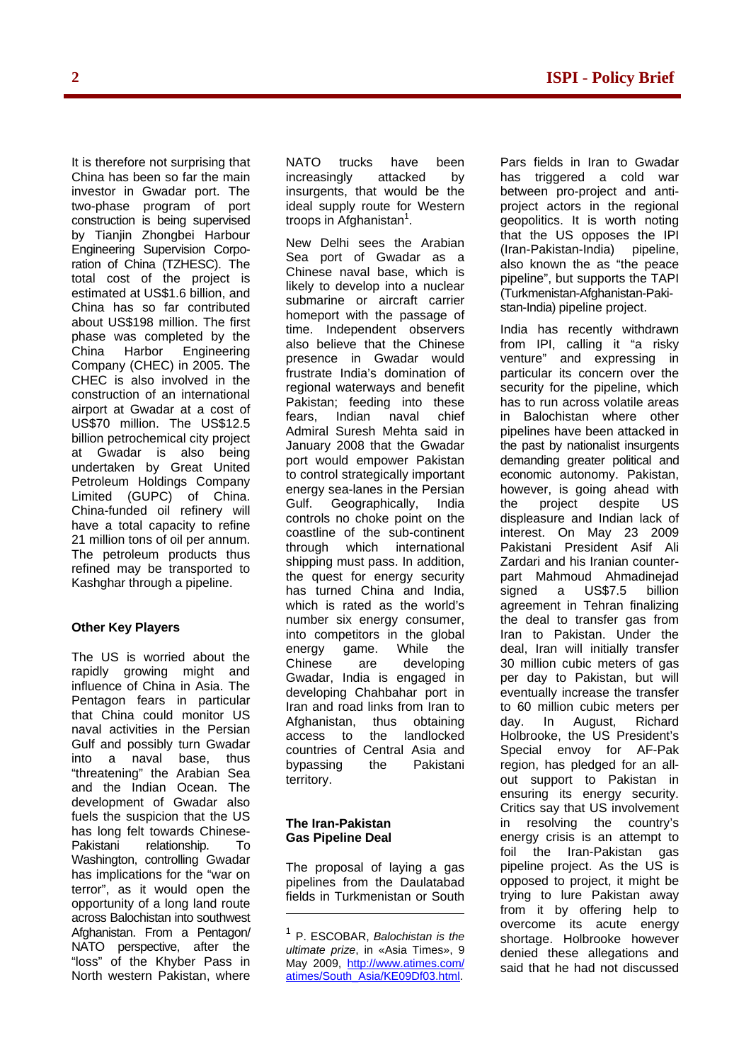It is therefore not surprising that China has been so far the main investor in Gwadar port. The two-phase program of port construction is being supervised by Tianjin Zhongbei Harbour Engineering Supervision Corporation of China (TZHESC). The total cost of the project is estimated at US\$1.6 billion, and China has so far contributed about US\$198 million. The first phase was completed by the China Harbor Engineering Company (CHEC) in 2005. The CHEC is also involved in the construction of an international airport at Gwadar at a cost of US\$70 million. The US\$12.5 billion petrochemical city project at Gwadar is also being undertaken by Great United Petroleum Holdings Company Limited (GUPC) of China. China-funded oil refinery will have a total capacity to refine 21 million tons of oil per annum. The petroleum products thus refined may be transported to Kashghar through a pipeline.

### **Other Key Players**

The US is worried about the rapidly growing might and influence of China in Asia. The Pentagon fears in particular that China could monitor US naval activities in the Persian Gulf and possibly turn Gwadar into a naval base, thus "threatening" the Arabian Sea and the Indian Ocean. The development of Gwadar also fuels the suspicion that the US has long felt towards Chinese-Pakistani relationship. To Washington, controlling Gwadar has implications for the "war on terror", as it would open the opportunity of a long land route across Balochistan into southwest Afghanistan. From a Pentagon/ NATO perspective, after the "loss" of the Khyber Pass in North western Pakistan, where

NATO trucks have been increasingly attacked by insurgents, that would be the ideal supply route for Western troops in Afghanistan<sup>1</sup>.

New Delhi sees the Arabian Sea port of Gwadar as a Chinese naval base, which is likely to develop into a nuclear submarine or aircraft carrier homeport with the passage of time. Independent observers also believe that the Chinese presence in Gwadar would frustrate India's domination of regional waterways and benefit Pakistan; feeding into these fears, Indian naval chief Admiral Suresh Mehta said in January 2008 that the Gwadar port would empower Pakistan to control strategically important energy sea-lanes in the Persian Gulf. Geographically, India controls no choke point on the coastline of the sub-continent through which international shipping must pass. In addition, the quest for energy security has turned China and India, which is rated as the world's number six energy consumer, into competitors in the global energy game. While the Chinese are developing Gwadar, India is engaged in developing Chahbahar port in Iran and road links from Iran to Afghanistan, thus obtaining access to the landlocked countries of Central Asia and bypassing the Pakistani territory.

### **The Iran-Pakistan Gas Pipeline Deal**

The proposal of laying a gas pipelines from the Daulatabad fields in Turkmenistan or South Pars fields in Iran to Gwadar has triggered a cold war between pro-project and antiproject actors in the regional geopolitics. It is worth noting that the US opposes the IPI (Iran-Pakistan-India) pipeline, also known the as "the peace pipeline", but supports the TAPI (Turkmenistan-Afghanistan-Pakistan-India) pipeline project.

India has recently withdrawn from IPI, calling it "a risky venture" and expressing in particular its concern over the security for the pipeline, which has to run across volatile areas in Balochistan where other pipelines have been attacked in the past by nationalist insurgents demanding greater political and economic autonomy. Pakistan, however, is going ahead with the project despite US displeasure and Indian lack of interest. On May 23 2009 Pakistani President Asif Ali Zardari and his Iranian counterpart Mahmoud Ahmadinejad signed a US\$7.5 billion agreement in Tehran finalizing the deal to transfer gas from Iran to Pakistan. Under the deal, Iran will initially transfer 30 million cubic meters of gas per day to Pakistan, but will eventually increase the transfer to 60 million cubic meters per day. In August, Richard Holbrooke, the US President's Special envoy for AF-Pak region, has pledged for an allout support to Pakistan in ensuring its energy security. Critics say that US involvement in resolving the country's energy crisis is an attempt to foil the Iran-Pakistan gas pipeline project. As the US is opposed to project, it might be trying to lure Pakistan away from it by offering help to overcome its acute energy shortage. Holbrooke however denied these allegations and said that he had not discussed

<sup>1</sup> P. ESCOBAR, *Balochistan is the ultimate prize*, in «Asia Times», 9 May 2009, http://www.atimes.com/ atimes/South\_Asia/KE09Df03.html.